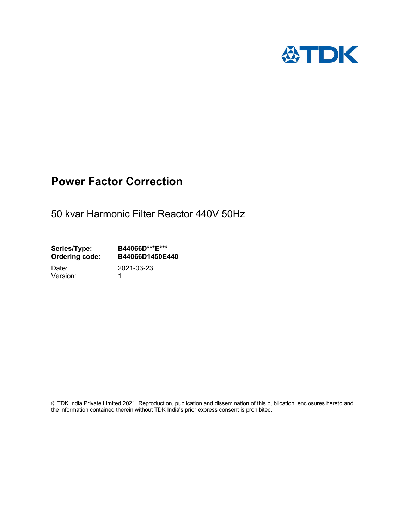

# Power Factor Correction

50 kvar Harmonic Filter Reactor 440V 50Hz

Series/Type: B44066D\*\*\*E\*\*\* Ordering code: B44066D1450E440

Version: 1

Date: 2021-03-23

 TDK India Private Limited 2021. Reproduction, publication and dissemination of this publication, enclosures hereto and the information contained therein without TDK India's prior express consent is prohibited.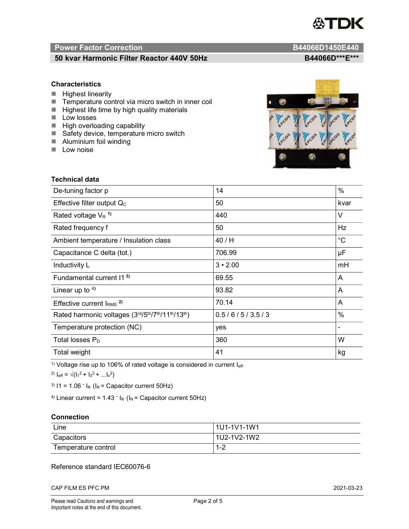

# Power Factor Correction and Content of Content of Content of Content of Content of Content of Content of Content of Content of Content of Content of Content of Content of Content of Content of Content of Content of Content

# 50 kvar Harmonic Filter Reactor 440V 50Hz B44066D\*\*\*E\*\*\*

### **Characteristics**

- $H$  Highest linearity
- Temperature control via micro switch in inner coil
- $\blacksquare$  Highest life time by high quality materials
- **Low losses**
- $\blacksquare$  High overloading capability
- Safety device, temperature micro switch
- **Aluminium foil winding**
- **Low noise**



| Technical data                                  |                |             |  |
|-------------------------------------------------|----------------|-------------|--|
| De-tuning factor p                              | 14             | %           |  |
| Effective filter output $Q_C$                   | 50             | kvar        |  |
| Rated voltage $V_R$ <sup>1)</sup>               | 440            | V           |  |
| Rated frequency f                               | 50             | Hz          |  |
| Ambient temperature / Insulation class          | 40 / H         | $^{\circ}C$ |  |
| Capacitance C delta (tot.)                      | 706.99         | μF          |  |
| Inductivity L                                   | $3 \cdot 2.00$ | mH          |  |
| Fundamental current 11 <sup>3)</sup>            | 69.55          | A           |  |
| Linear up to $4$ )                              | 93.82          | A           |  |
| Effective current $IRMS$ <sup>2)</sup>          | 70.14          | A           |  |
| Rated harmonic voltages (3rd/5th/7th/11th/13th) | 0.5/6/5/3.5/3  | $\%$        |  |
| Temperature protection (NC)                     | yes            |             |  |
| Total losses $P_D$                              | 360            | W           |  |
| Total weight                                    | 41             | kg          |  |

<sup>1)</sup> Voltage rise up to 106% of rated voltage is considered in current  $I_{\text{eff}}$ .

<sup>2)</sup>  $I_{eff} = \sqrt{(I_1^2 + I_3^2 + ... I_x^2)}$ 

<sup>3)</sup>  $11 = 1.06$   $\cdot$   $I_R$  ( $I_R$  = Capacitor current 50Hz)

<sup>4)</sup> Linear current =  $1.43$   $\cdot$  I<sub>R</sub> (I<sub>R</sub> = Capacitor current 50Hz)

### **Connection**

| Line                | 1U1-1V1-1W1   |
|---------------------|---------------|
| Capacitors          | l 1U2-1V2-1W2 |
| Temperature control | - 4 ວ<br>ے- ا |

## Reference standard IEC60076-6

CAP FILM ES PFC PM 2021-03-23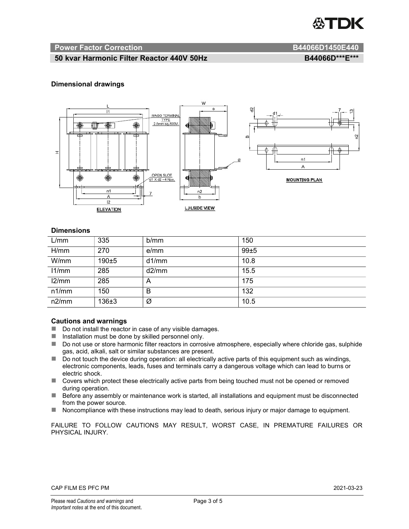

#### Power Factor Correction and B44066D1450E440

# 50 kvar Harmonic Filter Reactor 440V 50Hz BA4066D\*\*\*E\*\*\*

### Dimensional drawings



#### **Dimensions**

| L/mm  | 335       | b/mm  | 150  |
|-------|-----------|-------|------|
| H/mm  | 270       | e/mm  | 99±5 |
| W/mm  | 190±5     | d1/mm | 10.8 |
| 11/mm | 285       | d2/mm | 15.5 |
| 12/mm | 285       | A     | 175  |
| n1/mm | 150       | В     | 132  |
| n2/mm | $136 + 3$ | Ø     | 10.5 |

#### Cautions and warnings

- Do not install the reactor in case of any visible damages.
- Installation must be done by skilled personnel only.
- Do not use or store harmonic filter reactors in corrosive atmosphere, especially where chloride gas, sulphide gas, acid, alkali, salt or similar substances are present.
- Do not touch the device during operation: all electrically active parts of this equipment such as windings, electronic components, leads, fuses and terminals carry a dangerous voltage which can lead to burns or electric shock.
- Covers which protect these electrically active parts from being touched must not be opened or removed during operation.
- Before any assembly or maintenance work is started, all installations and equipment must be disconnected from the power source.
- Noncompliance with these instructions may lead to death, serious injury or major damage to equipment.

FAILURE TO FOLLOW CAUTIONS MAY RESULT, WORST CASE, IN PREMATURE FAILURES OR PHYSICAL INJURY.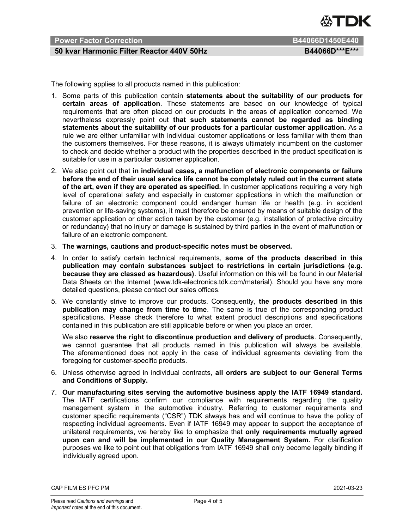

# Power Factor Correction **B644066D1450E440** B44066D1450E440

# 50 kvar Harmonic Filter Reactor 440V 50Hz BA4066D\*\*\*E\*\*\*

The following applies to all products named in this publication:

- 1. Some parts of this publication contain statements about the suitability of our products for certain areas of application. These statements are based on our knowledge of typical requirements that are often placed on our products in the areas of application concerned. We nevertheless expressly point out that such statements cannot be regarded as binding statements about the suitability of our products for a particular customer application. As a rule we are either unfamiliar with individual customer applications or less familiar with them than the customers themselves. For these reasons, it is always ultimately incumbent on the customer to check and decide whether a product with the properties described in the product specification is suitable for use in a particular customer application.
- 2. We also point out that in individual cases, a malfunction of electronic components or failure before the end of their usual service life cannot be completely ruled out in the current state of the art, even if they are operated as specified. In customer applications requiring a very high level of operational safety and especially in customer applications in which the malfunction or failure of an electronic component could endanger human life or health (e.g. in accident prevention or life-saving systems), it must therefore be ensured by means of suitable design of the customer application or other action taken by the customer (e.g. installation of protective circuitry or redundancy) that no injury or damage is sustained by third parties in the event of malfunction or failure of an electronic component.
- 3. The warnings, cautions and product-specific notes must be observed.
- 4. In order to satisfy certain technical requirements, some of the products described in this publication may contain substances subject to restrictions in certain jurisdictions (e.g. because they are classed as hazardous). Useful information on this will be found in our Material Data Sheets on the Internet (www.tdk-electronics.tdk.com/material). Should you have any more detailed questions, please contact our sales offices.
- 5. We constantly strive to improve our products. Consequently, the products described in this publication may change from time to time. The same is true of the corresponding product specifications. Please check therefore to what extent product descriptions and specifications contained in this publication are still applicable before or when you place an order.

We also reserve the right to discontinue production and delivery of products. Consequently, we cannot guarantee that all products named in this publication will always be available. The aforementioned does not apply in the case of individual agreements deviating from the foregoing for customer-specific products.

- 6. Unless otherwise agreed in individual contracts, all orders are subject to our General Terms and Conditions of Supply.
- 7. Our manufacturing sites serving the automotive business apply the IATF 16949 standard. The IATF certifications confirm our compliance with requirements regarding the quality management system in the automotive industry. Referring to customer requirements and customer specific requirements ("CSR") TDK always has and will continue to have the policy of respecting individual agreements. Even if IATF 16949 may appear to support the acceptance of unilateral requirements, we hereby like to emphasize that only requirements mutually agreed upon can and will be implemented in our Quality Management System. For clarification purposes we like to point out that obligations from IATF 16949 shall only become legally binding if individually agreed upon.